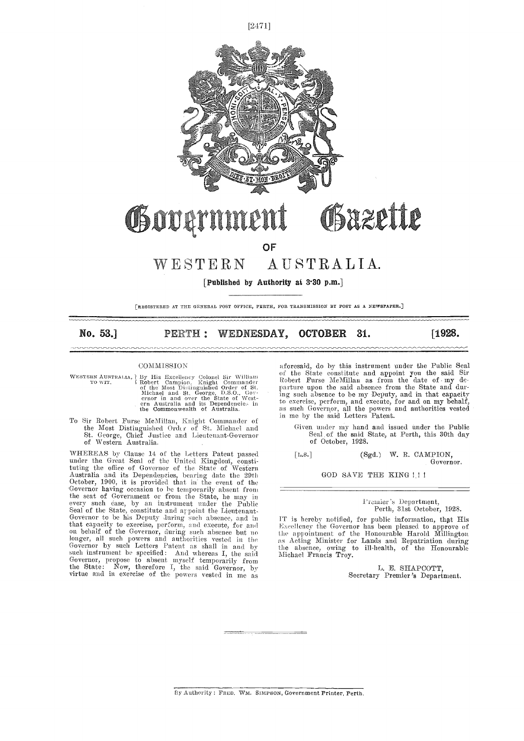

## **OF**

## WESTERN AUSTRALIA.

[Published by Authority at 3.30 p.m.]

[REGISTERED AT THE GENERAL POST OFFICE, PERTH, FOR TRANSMISSION BY POST AS A NEWSPAPER.]

#### No. 53.] PERTH: WEDNESDAY, OCTOBER 31. [1928.

#### **COMMISSION**

- WESTERN AUSTRALIA, By His Excellency Colonel Sir William and TO WIT.<br>
TO WIT. (Robert Campion, Knight Commander Bobert Function of the Most Distinguished Order of St.<br>
Michael and St. George, D.S.O. Govern in and over the
- To Sir Robert Furse McMillan, Knight Commander of<br>
the Most Distinguished Order of St. Michael and<br>
St. George, Chief Justice and Lieutenant-Governor<br>
of Western Australia.

WHEREAS by Clause 14 of the Letters Patent passed under the Great Seal of the United Kingdoni, constituting the office of Governor of the State of Western Australia and its Dependencies, bearing date the 29th October, 1900, it is provided that in the event of the Governor having occasion to he temporarily absent from the seat of Government or from the State, he may in<br>every such case, by an instrument under the Public<br>Seal of the State, constitute and arpoint the Lieutenant-<br>Governor to be his Deputy during such absence, and in IT is that capacity to exercise, perform, and execute, for and  $\frac{Ex}{Excell}$  on behalf of the Governor, during such absence but no the a longer, all such powers and authorities vested in the as Act Governor by such Letters Patent as shall in and by the al such instrument be specified: And whereas I, the said Michael Fra<br>Governor, propose to absent myself temporarily from the State : Now, therefore I, the said Governor, by virtue and in exercise of the powers vested in me as

aforesaid, do by this instrument under the Public Seal of the State constitute and appoint you the said Sir Robert Purse McMillan as from the date of  $\cdot$  my departure upon the said absence from the State and during such absence to be my Deputy, and in that capacity to exercise, perform, and execute, for and on my behalf, as such Governor, all the powers and authorities vested in me by the said Letters Patent.

Given under my hand and issued under the Public Seal, of the said State, at Perth, this 30th day of October, 1928.

[Ls.] (Sgd.) W. R. CAMPION, Governor.

GOD SAVE THE KING !!!

Prauier 's Department, Perth, 31st October, 1928.

IT is hereby notified, for public information, thpt His Excel lency the Governor has been pleased to approve of the appointment of the Honourable Harold Millington as Acting Minister for Lands and Repatriation during the absence, owing to ill-health, of the Honourable Michael Francis Troy.

1. E SHAPCOTT, Secretary Premier's Department.

By Authority : FRED. WM. SIMPSON, Government Printer, Perth.